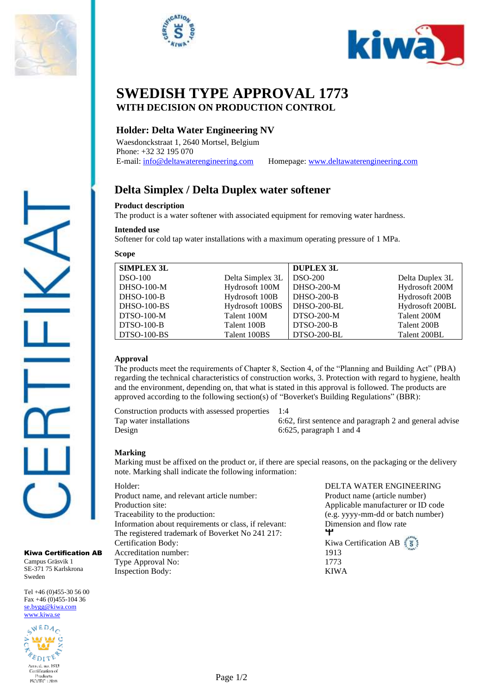





# **SWEDISH TYPE APPROVAL 1773 WITH DECISION ON PRODUCTION CONTROL**

# **Holder: Delta Water Engineering NV**

Waesdonckstraat 1, 2640 Mortsel, Belgium Phone: +32 32 195 070

E-mail[: info@deltawaterengineering.com](mailto:info@deltawaterengineering.com) Homepage: [www.deltawaterengineering.com](http://www.deltawaterengineering.com/)

# **Delta Simplex / Delta Duplex water softener**

## **Product description**

The product is a water softener with associated equipment for removing water hardness.

Softener for cold tap water installations with a maximum operating pressure of 1 MPa.

# **Scope**

**Intended use**

| <b>SIMPLEX 3L</b>  |                  | <b>DUPLEX 3L</b> |                 |
|--------------------|------------------|------------------|-----------------|
| $DSO-100$          | Delta Simplex 3L | $DSO-200$        | Delta Duplex 3L |
| <b>DHSO-100-M</b>  | Hydrosoft 100M   | $DHSO-200-M$     | Hydrosoft 200M  |
| <b>DHSO-100-B</b>  | Hydrosoft 100B   | $DHSO-200-B$     | Hydrosoft 200B  |
| <b>DHSO-100-BS</b> | Hydrosoft 100BS  | DHSO-200-BL      | Hydrosoft 200BL |
| $DTSO-100-M$       | Talent 100M      | $DTSO-200-M$     | Talent 200M     |
| <b>DTSO-100-B</b>  | Talent 100B      | $DTSO-200-B$     | Talent 200B     |
| <b>DTSO-100-BS</b> | Talent 100BS     | DTSO-200-BL      | Talent 200BL    |

## **Approval**

The products meet the requirements of Chapter 8, Section 4, of the "Planning and Building Act" (PBA) regarding the technical characteristics of construction works, 3. Protection with regard to hygiene, health and the environment, depending on, that what is stated in this approval is followed. The products are approved according to the following section(s) of "Boverket's Building Regulations" (BBR):

Construction products with assessed properties 1:4 Design 6:625, paragraph 1 and 4

Tap water installations 6:62, first sentence and paragraph 2 and general advise

## **Marking**

Marking must be affixed on the product or, if there are special reasons, on the packaging or the delivery note. Marking shall indicate the following information:

Product name, and relevant article number: Product name (article number) Production site: Applicable manufacturer or ID code Traceability to the production: (e.g. yyyy-mm-dd or batch number) Information about requirements or class, if relevant: Dimension and flow rate The registered trademark of Boverket No 241 217: **Certification Body:** Kiwa Certification AB Accreditation number: 1913 Type Approval No: 1773 Inspection Body: KIWA

Holder: DELTA WATER ENGINEERING ተ

Kiwa Certification AB

Campus Gräsvik 1 SE-371 75 Karlskrona Sweden

Tel +46 (0)455-30 56 00 Fax +46 (0)455-104 36 [se.bygg@kiwa.com](file://///sekiw-mainframe/gemensam/Bygg%20och%20Energi/2%20Kunder/H/Hansgrohe%20SE/pågående%20ärenden/128-19_TG%201395%20rev2_1-grepps%20TS-blandare%20för%202-håls%20inbyggnad%20i%20vägg_AXOR%20MyEdition_(EN%20817)/Certifikat%20utkast/se.bygg@kiwa.com) [www.kiwa.se](http://www.kiwa.se/)